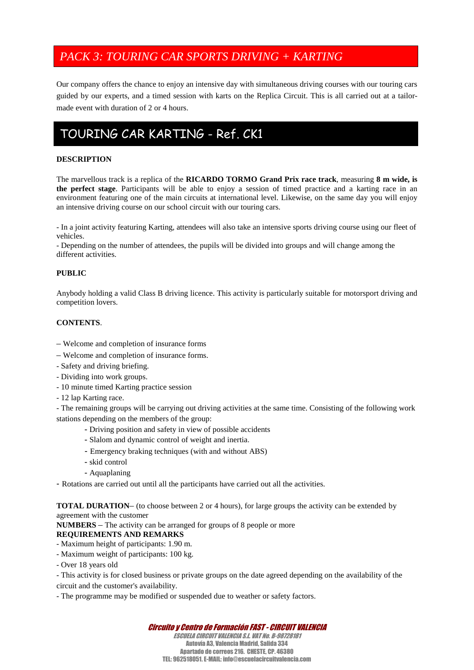# *PACK 3: TOURING CAR SPORTS DRIVING + KARTING*

Our company offers the chance to enjoy an intensive day with simultaneous driving courses with our touring cars guided by our experts, and a timed session with karts on the Replica Circuit. This is all carried out at a tailor made event with duration of 2 or 4 hours.

# TOURING CAR KARTING - Ref. CK1

# **DESCRIPTION**

The marvellous track is a replica of the **RICARDO TORMO Grand Prix race track**, measuring **8 m wide, is the perfect stage**. Participants will be able to enjoy a session of timed practice and a karting race in an environment featuring one of the main circuits at international level. Likewise, on the same day you will enjoy an intensive driving course on our school circuit with our touring cars.

- In a joint activity featuring Karting, attendees will also take an intensive sports driving course using our fleet of vehicles.

- Depending on the number of attendees, the pupils will be divided into groups and will change among the different activities.

# **PUBLIC**

Anybody holding a valid Class B driving licence. This activity is particularly suitable for motorsport driving and competition lovers.

# **CONTENTS**.

- Welcome and completion of insurance forms
- Welcome and completion of insurance forms.
- Safety and driving briefing.
- Dividing into work groups.
- 10 minute timed Karting practice session
- 12 lap Karting race.

- The remaining groups will be carrying out driving activities at the same time. Consisting of the following work stations depending on the members of the group:

- Driving position and safety in view of possible accidents
- Slalom and dynamic control of weight and inertia.
- Emergency braking techniques (with and without ABS)
- skid control
- Aquaplaning

- Rotations are carried out until all the participants have carried out all the activities.

**TOTAL DURATION**– (to choose between 2 or 4 hours), for large groups the activity can be extended by agreement with the customer

**NUMBERS** – The activity can be arranged for groups of 8 people or more

#### **REQUIREMENTS AND REMARKS**

- Maximum height of participants: 1.90 m.
- Maximum weight of participants: 100 kg.
- Over 18 years old

- This activity is for closed business or private groups on the date agreed depending on the availability of the

- circuit and the customer's availability.
- The programme may be modified or suspended due to weather or safety factors.

# *Circuito y Centro de Formación FAST - CIRCUIT VALENCIA*

*ESCUELA CIRCUIT VALENCIA S.L. VAT No. B-98728181* Autovía A3, Valencia Madrid, Salida 334 Apartado de correos 216. CHESTE, CP. 46380 TEL: 962518051. E-MAIL: info@escuelacircuitvalencia.com